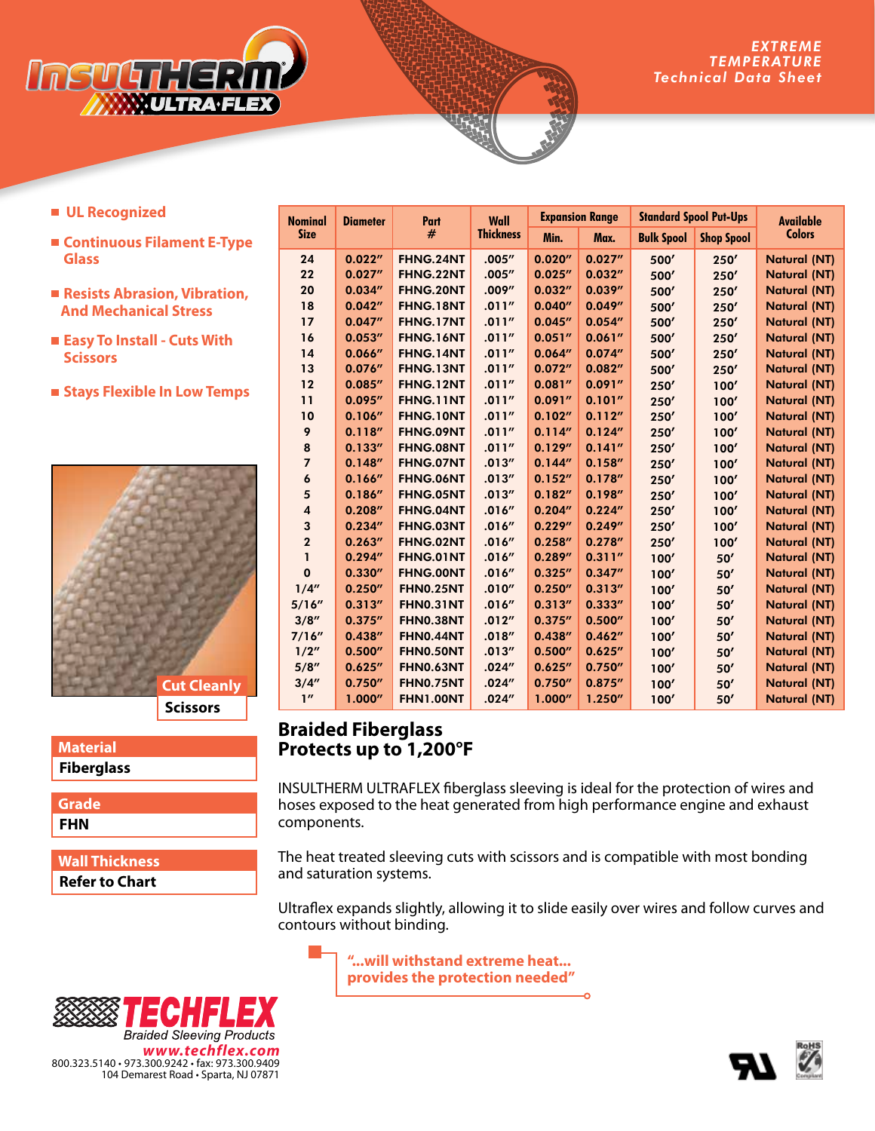

- **UL Recognized**
- **Continuous Filament E-Type Glass**
- Resists Abrasion, Vibration,  **And Mechanical Stress**
- **Easy To Install Cuts With Scissors**
- **Stays Flexible In Low Temps**



### **Fiberglass Material**

**FHN Grade**

**Refer to Chart Wall Thickness**

| <b>Nominal</b>          | <b>Diameter</b> | Part<br># | Wall<br><b>Thickness</b> | <b>Expansion Range</b> |         | <b>Standard Spool Put-Ups</b> |                   | <b>Available</b>    |
|-------------------------|-----------------|-----------|--------------------------|------------------------|---------|-------------------------------|-------------------|---------------------|
| <b>Size</b>             |                 |           |                          | Min.                   | Max.    | <b>Bulk Spool</b>             | <b>Shop Spool</b> | <b>Colors</b>       |
| 24                      | 0.022''         | FHNG.24NT | .005''                   | 0.020''                | 0.027'' | 500'                          | 250'              | <b>Natural (NT)</b> |
| 22                      | 0.027''         | FHNG.22NT | .005''                   | 0.025''                | 0.032'' | 500'                          | 250'              | <b>Natural (NT)</b> |
| 20                      | 0.034''         | FHNG.20NT | .009''                   | 0.032''                | 0.039'' | 500'                          | 250'              | <b>Natural (NT)</b> |
| 18                      | 0.042''         | FHNG.18NT | .011''                   | 0.040''                | 0.049'' | 500'                          | 250'              | <b>Natural (NT)</b> |
| 17                      | 0.047''         | FHNG.17NT | .011''                   | 0.045''                | 0.054'' | 500'                          | 250'              | <b>Natural (NT)</b> |
| 16                      | 0.053''         | FHNG.16NT | .011''                   | 0.051''                | 0.061'' | 500'                          | 250'              | <b>Natural (NT)</b> |
| 14                      | 0.066''         | FHNG.14NT | .011''                   | 0.064''                | 0.074'' | 500'                          | 250'              | <b>Natural (NT)</b> |
| 13                      | 0.076''         | FHNG.13NT | .011''                   | 0.072''                | 0.082'' | 500'                          | 250'              | <b>Natural (NT)</b> |
| 12                      | 0.085''         | FHNG.12NT | .011''                   | 0.081''                | 0.091'' | 250'                          | 100'              | <b>Natural (NT)</b> |
| 11                      | 0.095''         | FHNG.11NT | .011''                   | 0.091''                | 0.101'' | 250'                          | 100'              | <b>Natural (NT)</b> |
| 10                      | 0.106''         | FHNG.10NT | .011''                   | 0.102''                | 0.112'' | 250'                          | 100'              | <b>Natural (NT)</b> |
| 9                       | 0.118''         | FHNG.09NT | .011''                   | 0.114''                | 0.124'' | 250'                          | 100'              | <b>Natural (NT)</b> |
| 8                       | 0.133''         | FHNG.08NT | .011''                   | 0.129''                | 0.141'' | 250'                          | 100'              | <b>Natural (NT)</b> |
| $\overline{7}$          | 0.148''         | FHNG.07NT | .013''                   | 0.144''                | 0.158'' | 250'                          | 100'              | <b>Natural (NT)</b> |
| 6                       | 0.166''         | FHNG.06NT | .013''                   | 0.152''                | 0.178'' | 250'                          | 100'              | <b>Natural (NT)</b> |
| 5                       | 0.186''         | FHNG.05NT | .013''                   | 0.182''                | 0.198'' | 250'                          | 100'              | <b>Natural (NT)</b> |
| $\overline{\mathbf{4}}$ | 0.208''         | FHNG.04NT | .016''                   | 0.204''                | 0.224'' | 250'                          | 100'              | <b>Natural (NT)</b> |
| 3                       | 0.234''         | FHNG.03NT | .016''                   | 0.229''                | 0.249'' | 250'                          | 100'              | <b>Natural (NT)</b> |
| $\mathbf{2}$            | 0.263''         | FHNG.02NT | .016''                   | 0.258''                | 0.278'' | 250'                          | 100'              | <b>Natural (NT)</b> |
| 1                       | 0.294''         | FHNG.01NT | .016''                   | 0.289''                | 0.311'' | 100'                          | 50'               | <b>Natural (NT)</b> |
| $\mathbf 0$             | 0.330''         | FHNG.00NT | .016''                   | 0.325''                | 0.347'' | 100'                          | 50'               | <b>Natural (NT)</b> |
| 1/4''                   | 0.250''         | FHN0.25NT | .010''                   | 0.250''                | 0.313'' | 100'                          | 50'               | <b>Natural (NT)</b> |
| 5/16''                  | 0.313''         | FHN0.31NT | .016''                   | 0.313''                | 0.333'' | 100'                          | 50'               | <b>Natural (NT)</b> |
| 3/8''                   | 0.375''         | FHN0.38NT | .012''                   | 0.375''                | 0.500'' | 100'                          | 50'               | <b>Natural (NT)</b> |
| 7/16''                  | 0.438''         | FHN0.44NT | .018''                   | 0.438''                | 0.462'' | 100'                          | 50'               | <b>Natural (NT)</b> |
| 1/2"                    | 0.500''         | FHN0.50NT | .013''                   | 0.500''                | 0.625'' | 100'                          | 50'               | <b>Natural (NT)</b> |
| 5/8''                   | 0.625''         | FHN0.63NT | .024''                   | 0.625''                | 0.750'' | 100'                          | 50'               | <b>Natural (NT)</b> |
| 3/4''                   | 0.750''         | FHN0.75NT | .024''                   | 0.750''                | 0.875'' | 100'                          | 50'               | <b>Natural (NT)</b> |
| 1''                     | 1.000''         | FHN1.00NT | .024''                   | 1.000''                | 1.250'' | 100'                          | 50'               | <b>Natural (NT)</b> |

## **Braided Fiberglass Protects up to 1,200°F**

INSULTHERM ULTRAFLEX fiberglass sleeving is ideal for the protection of wires and hoses exposed to the heat generated from high performance engine and exhaust components.

The heat treated sleeving cuts with scissors and is compatible with most bonding and saturation systems.

Ultraflex expands slightly, allowing it to slide easily over wires and follow curves and contours without binding.

**"...will withstand extreme heat... provides the protection needed"**



104 Demarest Road • Sparta, NJ 07871